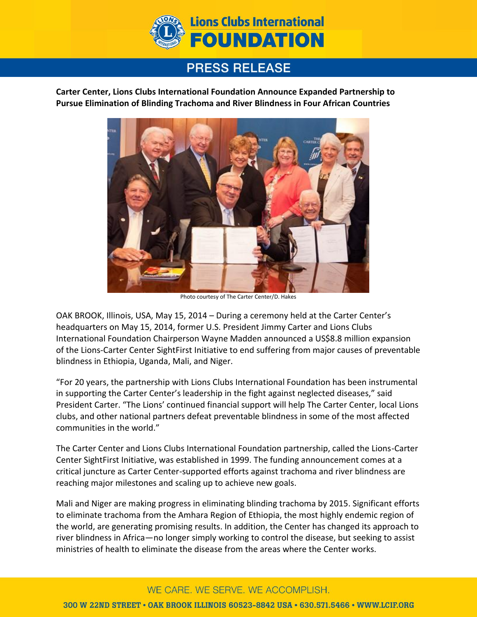

## **PRESS RELEASE**

**Carter Center, Lions Clubs International Foundation Announce Expanded Partnership to Pursue Elimination of Blinding Trachoma and River Blindness in Four African Countries**



Photo courtesy of The Carter Center/D. Hakes

OAK BROOK, Illinois, USA, May 15, 2014 – During a ceremony held at the Carter Center's headquarters on May 15, 2014, former U.S. President Jimmy Carter and Lions Clubs International Foundation Chairperson Wayne Madden announced a US\$8.8 million expansion of the Lions-Carter Center SightFirst Initiative to end suffering from major causes of preventable blindness in Ethiopia, Uganda, Mali, and Niger.

"For 20 years, the partnership with Lions Clubs International Foundation has been instrumental in supporting the Carter Center's leadership in the fight against neglected diseases," said President Carter. "The Lions' continued financial support will help The Carter Center, local Lions clubs, and other national partners defeat preventable blindness in some of the most affected communities in the world."

The Carter Center and Lions Clubs International Foundation partnership, called the Lions-Carter Center SightFirst Initiative, was established in 1999. The funding announcement comes at a critical juncture as Carter Center-supported efforts against trachoma and river blindness are reaching major milestones and scaling up to achieve new goals.

Mali and Niger are making progress in eliminating blinding trachoma by 2015. Significant efforts to eliminate trachoma from the Amhara Region of Ethiopia, the most highly endemic region of the world, are generating promising results. In addition, the Center has changed its approach to river blindness in Africa—no longer simply working to control the disease, but seeking to assist ministries of health to eliminate the disease from the areas where the Center works.

## WE CARE, WE SERVE, WE ACCOMPLISH.

300 W 22ND STREET • OAK BROOK ILLINOIS 60523-8842 USA • 630.571.5466 • WWW.LCIF.ORG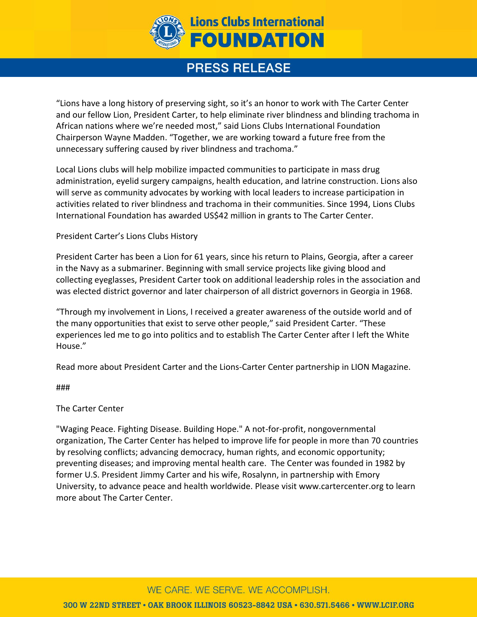

# **PRESS RELEASE**

"Lions have a long history of preserving sight, so it's an honor to work with The Carter Center and our fellow Lion, President Carter, to help eliminate river blindness and blinding trachoma in African nations where we're needed most," said Lions Clubs International Foundation Chairperson Wayne Madden. "Together, we are working toward a future free from the unnecessary suffering caused by river blindness and trachoma."

Local Lions clubs will help mobilize impacted communities to participate in mass drug administration, eyelid surgery campaigns, health education, and latrine construction. Lions also will serve as community advocates by working with local leaders to increase participation in activities related to river blindness and trachoma in their communities. Since 1994, Lions Clubs International Foundation has awarded US\$42 million in grants to The Carter Center.

President Carter's Lions Clubs History

President Carter has been a Lion for 61 years, since his return to Plains, Georgia, after a career in the Navy as a submariner. Beginning with small service projects like giving blood and collecting eyeglasses, President Carter took on additional leadership roles in the association and was elected district governor and later chairperson of all district governors in Georgia in 1968.

"Through my involvement in Lions, I received a greater awareness of the outside world and of the many opportunities that exist to serve other people," said President Carter. "These experiences led me to go into politics and to establish The Carter Center after I left the White House."

Read more about President Carter and the Lions-Carter Center partnership in LION Magazine.

###

#### The Carter Center

"Waging Peace. Fighting Disease. Building Hope." A not-for-profit, nongovernmental organization, The Carter Center has helped to improve life for people in more than 70 countries by resolving conflicts; advancing democracy, human rights, and economic opportunity; preventing diseases; and improving mental health care. The Center was founded in 1982 by former U.S. President Jimmy Carter and his wife, Rosalynn, in partnership with Emory University, to advance peace and health worldwide. Please visit www.cartercenter.org to learn more about The Carter Center.

### WE CARE, WE SERVE, WE ACCOMPLISH.

300 W 22ND STREET • OAK BROOK ILLINOIS 60523-8842 USA • 630.571.5466 • WWW.LCIF.ORG